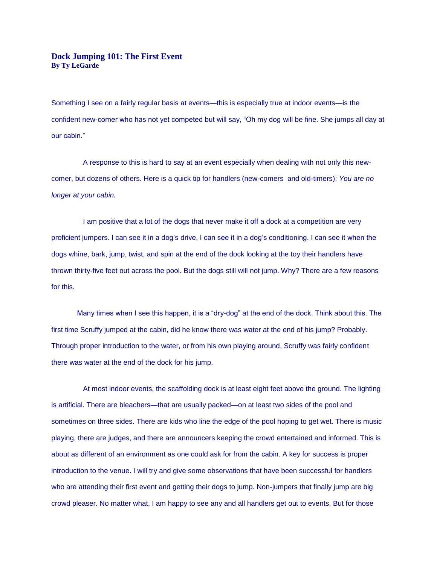## **Dock Jumping 101: The First Event By Ty LeGarde**

Something I see on a fairly regular basis at events—this is especially true at indoor events—is the confident new-comer who has not yet competed but will say, "Oh my dog will be fine. She jumps all day at our cabin."

 A response to this is hard to say at an event especially when dealing with not only this newcomer, but dozens of others. Here is a quick tip for handlers (new-comers and old-timers): *You are no longer at your cabin.*

I am positive that a lot of the dogs that never make it off a dock at a competition are very proficient jumpers. I can see it in a dog's drive. I can see it in a dog's conditioning. I can see it when the dogs whine, bark, jump, twist, and spin at the end of the dock looking at the toy their handlers have thrown thirty-five feet out across the pool. But the dogs still will not jump. Why? There are a few reasons for this.

Many times when I see this happen, it is a "dry-dog" at the end of the dock. Think about this. The first time Scruffy jumped at the cabin, did he know there was water at the end of his jump? Probably. Through proper introduction to the water, or from his own playing around, Scruffy was fairly confident there was water at the end of the dock for his jump.

 At most indoor events, the scaffolding dock is at least eight feet above the ground. The lighting is artificial. There are bleachers—that are usually packed—on at least two sides of the pool and sometimes on three sides. There are kids who line the edge of the pool hoping to get wet. There is music playing, there are judges, and there are announcers keeping the crowd entertained and informed. This is about as different of an environment as one could ask for from the cabin. A key for success is proper introduction to the venue. I will try and give some observations that have been successful for handlers who are attending their first event and getting their dogs to jump. Non-jumpers that finally jump are big crowd pleaser. No matter what, I am happy to see any and all handlers get out to events. But for those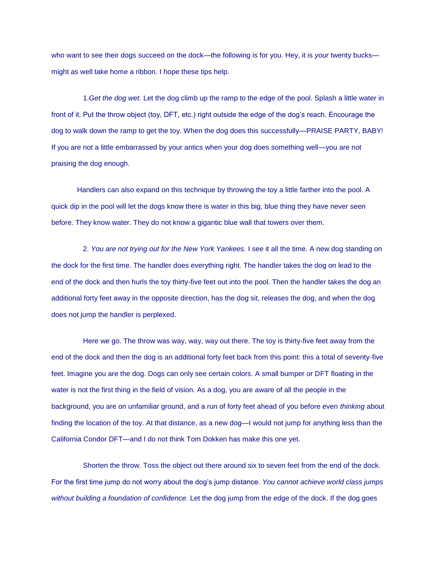who want to see their dogs succeed on the dock—the following is for you. Hey, it is *your* twenty bucks might as well take home a ribbon. I hope these tips help.

 1.*Get the dog wet.* Let the dog climb up the ramp to the edge of the pool. Splash a little water in front of it. Put the throw object (toy, DFT, etc.) right outside the edge of the dog's reach. Encourage the dog to walk down the ramp to get the toy. When the dog does this successfully—PRAISE PARTY, BABY! If you are not a little embarrassed by your antics when your dog does something well—you are not praising the dog enough.

Handlers can also expand on this technique by throwing the toy a little farther into the pool. A quick dip in the pool will let the dogs know there is water in this big, blue thing they have never seen before. They know water. They do not know a gigantic blue wall that towers over them.

 2. *You are not trying out for the New York Yankees.* I see it all the time. A new dog standing on the dock for the first time. The handler does everything right. The handler takes the dog on lead to the end of the dock and then hurls the toy thirty-five feet out into the pool. Then the handler takes the dog an additional forty feet away in the opposite direction, has the dog sit, releases the dog, and when the dog does not jump the handler is perplexed.

 Here we go. The throw was way, way, way out there. The toy is thirty-five feet away from the end of the dock and then the dog is an additional forty feet back from this point: this a total of seventy-five feet. Imagine you are the dog. Dogs can only see certain colors. A small bumper or DFT floating in the water is not the first thing in the field of vision. As a dog, you are aware of all the people in the background, you are on unfamiliar ground, and a run of forty feet ahead of you before even *thinking* about finding the location of the toy. At that distance, as a new dog—I would not jump for anything less than the California Condor DFT—and I do not think Tom Dokken has make this one yet.

 Shorten the throw. Toss the object out there around six to seven feet from the end of the dock. For the first time jump do not worry about the dog's jump distance. *You cannot achieve world class jumps without building a foundation of confidence.* Let the dog jump from the edge of the dock. If the dog goes